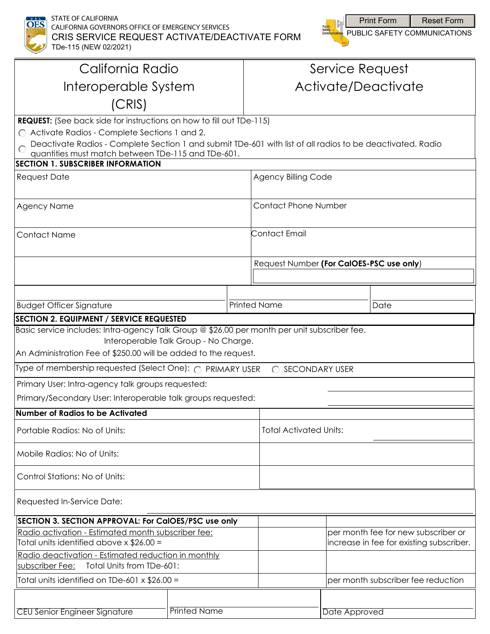

STATE OF CALIFORNIA CALIFORNIA GOVERNORS OFFICE OF EMERGENCY SERVICES CRIS SERVICE REQUEST ACTIVATE/DEACTIVATE FORM TDe-115 (NEW 02/2021)



| California Radio                                                                                                                                                                                                                                                                           |                     |  | Service Request                          |               |                                                                                 |
|--------------------------------------------------------------------------------------------------------------------------------------------------------------------------------------------------------------------------------------------------------------------------------------------|---------------------|--|------------------------------------------|---------------|---------------------------------------------------------------------------------|
| Interoperable System                                                                                                                                                                                                                                                                       |                     |  | Activate/Deactivate                      |               |                                                                                 |
| (CRIS)                                                                                                                                                                                                                                                                                     |                     |  |                                          |               |                                                                                 |
| REQUEST: (See back side for instructions on how to fill out TDe-115)<br>◯ Activate Radios - Complete Sections 1 and 2.<br>Deactivate Radios - Complete Section 1 and submit TDe-601 with list of all radios to be deactivated. Radio<br>quantities must match between TDe-115 and TDe-601. |                     |  |                                          |               |                                                                                 |
| <b>SECTION 1. SUBSCRIBER INFORMATION</b>                                                                                                                                                                                                                                                   |                     |  |                                          |               |                                                                                 |
| <b>Request Date</b>                                                                                                                                                                                                                                                                        |                     |  | <b>Agency Billing Code</b>               |               |                                                                                 |
| <b>Agency Name</b>                                                                                                                                                                                                                                                                         |                     |  | <b>Contact Phone Number</b>              |               |                                                                                 |
| <b>Contact Name</b>                                                                                                                                                                                                                                                                        |                     |  | Contact Email                            |               |                                                                                 |
|                                                                                                                                                                                                                                                                                            |                     |  | Request Number (For CalOES-PSC use only) |               |                                                                                 |
|                                                                                                                                                                                                                                                                                            |                     |  |                                          |               |                                                                                 |
| <b>Budget Officer Signature</b>                                                                                                                                                                                                                                                            | <b>Printed Name</b> |  |                                          |               | Date                                                                            |
| <b>SECTION 2. EQUIPMENT / SERVICE REQUESTED</b>                                                                                                                                                                                                                                            |                     |  |                                          |               |                                                                                 |
| Basic service includes: Intra-agency Talk Group @ \$26.00 per month per unit subscriber fee.<br>Interoperable Talk Group - No Charge.<br>An Administration Fee of \$250.00 will be added to the request.                                                                                   |                     |  |                                          |               |                                                                                 |
| Type of membership requested (Select One): ∩ PRIMARY USER<br>◯ SECONDARY USER                                                                                                                                                                                                              |                     |  |                                          |               |                                                                                 |
| Primary User: Intra-agency talk groups requested:                                                                                                                                                                                                                                          |                     |  |                                          |               |                                                                                 |
| Primary/Secondary User: Interoperable talk groups requested:                                                                                                                                                                                                                               |                     |  |                                          |               |                                                                                 |
| Number of Radios to be Activated                                                                                                                                                                                                                                                           |                     |  |                                          |               |                                                                                 |
| Portable Radios: No of Units:                                                                                                                                                                                                                                                              |                     |  | <b>Total Activated Units:</b>            |               |                                                                                 |
| Mobile Radios: No of Units:                                                                                                                                                                                                                                                                |                     |  |                                          |               |                                                                                 |
| Control Stations: No of Units:                                                                                                                                                                                                                                                             |                     |  |                                          |               |                                                                                 |
| Requested In-Service Date:                                                                                                                                                                                                                                                                 |                     |  |                                          |               |                                                                                 |
| SECTION 3. SECTION APPROVAL: For CalOES/PSC use only                                                                                                                                                                                                                                       |                     |  |                                          |               |                                                                                 |
| Radio activation - Estimated month subscriber fee:<br>Total units identified above $\times$ \$26.00 =                                                                                                                                                                                      |                     |  |                                          |               | per month fee for new subscriber or<br>increase in fee for existing subscriber. |
| Radio deactivation - Estimated reduction in monthly<br>Total Units from TDe-601:<br>subscriber Fee:                                                                                                                                                                                        |                     |  |                                          |               |                                                                                 |
| Total units identified on TDe-601 $\times$ \$26.00 =                                                                                                                                                                                                                                       |                     |  |                                          |               | per month subscriber fee reduction                                              |
|                                                                                                                                                                                                                                                                                            |                     |  |                                          |               |                                                                                 |
| <b>CEU Senior Engineer Signature</b>                                                                                                                                                                                                                                                       | <b>Printed Name</b> |  |                                          | Date Approved |                                                                                 |